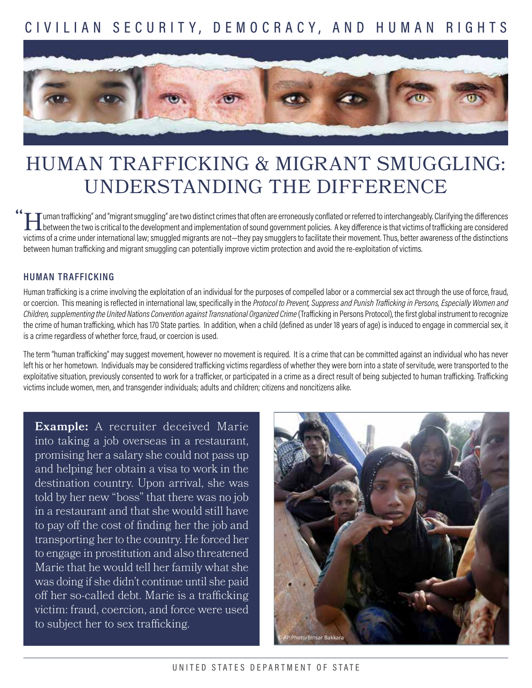## CIVILIAN SECURIT Y, DEMOCR AC Y, AND HUMAN RIGHTS



# HUMAN TRAFFICKING & MIGRANT SMUGGLING: UNDERSTANDING THE DIFFERENCE

I uman trafficking" and "migrant smuggling" are two distinct crimes that often are erroneously conflated or referred to interchangeably. Clarifying the differences<br>between the two is critical to the development and impleme between the two is critical to the development and implementation of sound government policies. A key difference is that victims of trafficking are considered victims of a crime under international law; smuggled migrants are not—they pay smugglers to facilitate their movement. Thus, better awareness of the distinctions between human trafficking and migrant smuggling can potentially improve victim protection and avoid the re-exploitation of victims. **"**

#### **HUMAN TRAFFICKING**

Human trafficking is a crime involving the exploitation of an individual for the purposes of compelled labor or a commercial sex act through the use of force, fraud, or coercion. This meaning is reflected in international law, specifically in the *Protocol to Prevent, Suppress and Punish Trafficking in Persons, Especially Women and Children, supplementing the United Nations Convention against Transnational Organized Crime* (Trafficking in Persons Protocol), the first global instrument to recognize the crime of human trafficking, which has 170 State parties. In addition, when a child (defined as under 18 years of age) is induced to engage in commercial sex, it is a crime regardless of whether force, fraud, or coercion is used.

The term "human trafficking" may suggest movement, however no movement is required. It is a crime that can be committed against an individual who has never left his or her hometown. Individuals may be considered trafficking victims regardless of whether they were born into a state of servitude, were transported to the exploitative situation, previously consented to work for a trafficker, or participated in a crime as a direct result of being subjected to human trafficking. Trafficking victims include women, men, and transgender individuals; adults and children; citizens and noncitizens alike.

**Example:** A recruiter deceived Marie into taking a job overseas in a restaurant, promising her a salary she could not pass up and helping her obtain a visa to work in the destination country. Upon arrival, she was told by her new "boss" that there was no job in a restaurant and that she would still have to pay off the cost of finding her the job and transporting her to the country. He forced her to engage in prostitution and also threatened Marie that he would tell her family what she was doing if she didn't continue until she paid off her so-called debt. Marie is a trafficking victim: fraud, coercion, and force were used to subject her to sex trafficking.